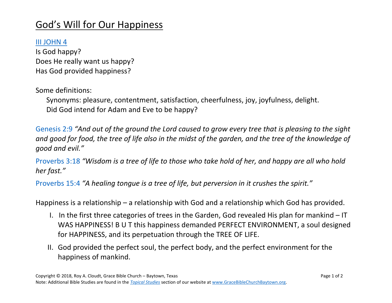## God's Will for Our Happiness

## [III JOHN 4](https://www.biblegateway.com/passage/?search=3+John+1%3A4&version=NASB)

Is God happy? Does He really want us happy? Has God provided happiness?

Some definitions:

 Synonyms: pleasure, contentment, satisfaction, cheerfulness, joy, joyfulness, delight. Did God intend for Adam and Eve to be happy?

[Genesis](https://www.biblegateway.com/passage/?search=Gen.+2%3A9&version=NASB) 2:9 *"And out of the ground the Lord caused to grow every tree that is pleasing to the sight*  and good for food, the tree of life also in the midst of the garden, and the tree of the knowledge of *good and evil."*

[Proverbs 3:18](https://www.biblegateway.com/passage/?search=Proverbs+3%3A18&version=NASB) *"Wisdom is a tree of life to those who take hold of her, and happy are all who hold her fast."*

[Proverbs 15:4](https://www.biblegateway.com/passage/?search=Proverbs+15%3A4&version=NASB) *"A healing tongue is a tree of life, but perversion in it crushes the spirit."*

Happiness is a relationship – a relationship with God and a relationship which God has provided.

- I. In the first three categories of trees in the Garden, God revealed His plan for mankind IT WAS HAPPINESS! B U T this happiness demanded PERFECT ENVIRONMENT, a soul designed for HAPPINESS, and its perpetuation through the TREE OF LIFE.
- II. God provided the perfect soul, the perfect body, and the perfect environment for the happiness of mankind.